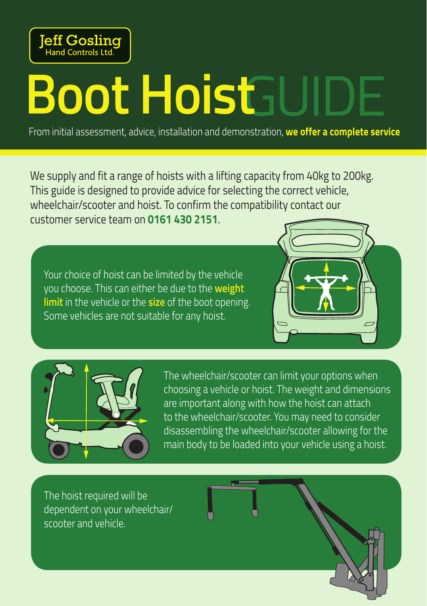

# **Boot HoistEU**

From initial assessment, advice, installation and demonstration, **we offer a complete service**

We supply and fit a range of hoists with a lifting capacity from 40kg to 200kg. This guide is designed to provide advice for selecting the correct vehicle, wheelchair/scooter and hoist. To confirm the compatibility contact our customer service team on **0161 430 2151**.

Your choice of hoist can be limited by the vehicle you choose. This can either be due to the **weight limit** in the vehicle or the **size** of the boot opening. Some vehicles are not suitable for any hoist.





The wheelchair/scooter can limit your options when choosing a vehicle or hoist. The weight and dimensions are important along with how the hoist can attach to the wheelchair/scooter. You may need to consider disassembling the wheelchair/scooter allowing for the main body to be loaded into your vehicle using a hoist.

The hoist required will be dependent on your wheelchair/ scooter and vehicle.

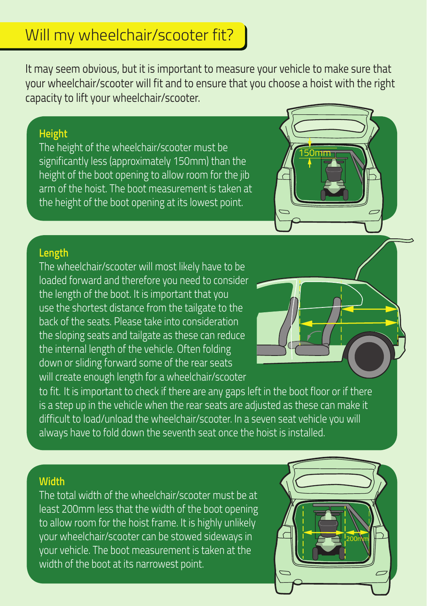# Will my wheelchair/scooter fit?

It may seem obvious, but it is important to measure your vehicle to make sure that your wheelchair/scooter will fit and to ensure that you choose a hoist with the right capacity to lift your wheelchair/scooter.

## **Height**

The height of the wheelchair/scooter must be significantly less (approximately 150mm) than the height of the boot opening to allow room for the jib arm of the hoist. The boot measurement is taken at the height of the boot opening at its lowest point.



# **Length**

The wheelchair/scooter will most likely have to be loaded forward and therefore you need to consider the length of the boot. It is important that you use the shortest distance from the tailgate to the back of the seats. Please take into consideration the sloping seats and tailgate as these can reduce the internal length of the vehicle. Often folding down or sliding forward some of the rear seats will create enough length for a wheelchair/scooter



to fit. It is important to check if there are any gaps left in the boot floor or if there is a step up in the vehicle when the rear seats are adjusted as these can make it difficult to load/unload the wheelchair/scooter. In a seven seat vehicle you will always have to fold down the seventh seat once the hoist is installed.

### **Width**

The total width of the wheelchair/scooter must be at least 200mm less that the width of the boot opening to allow room for the hoist frame. It is highly unlikely your wheelchair/scooter can be stowed sideways in your vehicle. The boot measurement is taken at the width of the boot at its narrowest point.

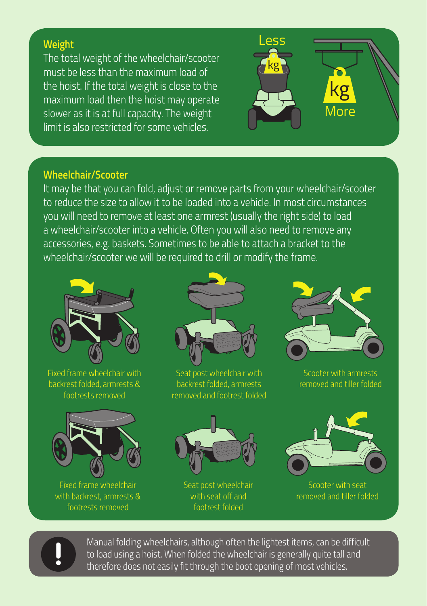# **Weight**

The total weight of the wheelchair/scooter must be less than the maximum load of the hoist. If the total weight is close to the maximum load then the hoist may operate slower as it is at full capacity. The weight limit is also restricted for some vehicles.



## **Wheelchair/Scooter**

It may be that you can fold, adjust or remove parts from your wheelchair/scooter to reduce the size to allow it to be loaded into a vehicle. In most circumstances you will need to remove at least one armrest (usually the right side) to load a wheelchair/scooter into a vehicle. Often you will also need to remove any accessories, e.g. baskets. Sometimes to be able to attach a bracket to the wheelchair/scooter we will be required to drill or modify the frame.



Fixed frame wheelchair with backrest folded, armrests & footrests removed



Fixed frame wheelchair with backrest, armrests & footrests removed



Seat post wheelchair with backrest folded, armrests removed and footrest folded



Scooter with armrests removed and tiller folded



Seat post wheelchair with seat off and footrest folded



Scooter with seat removed and tiller folded



Manual folding wheelchairs, although often the lightest items, can be difficult to load using a hoist. When folded the wheelchair is generally quite tall and therefore does not easily fit through the boot opening of most vehicles.